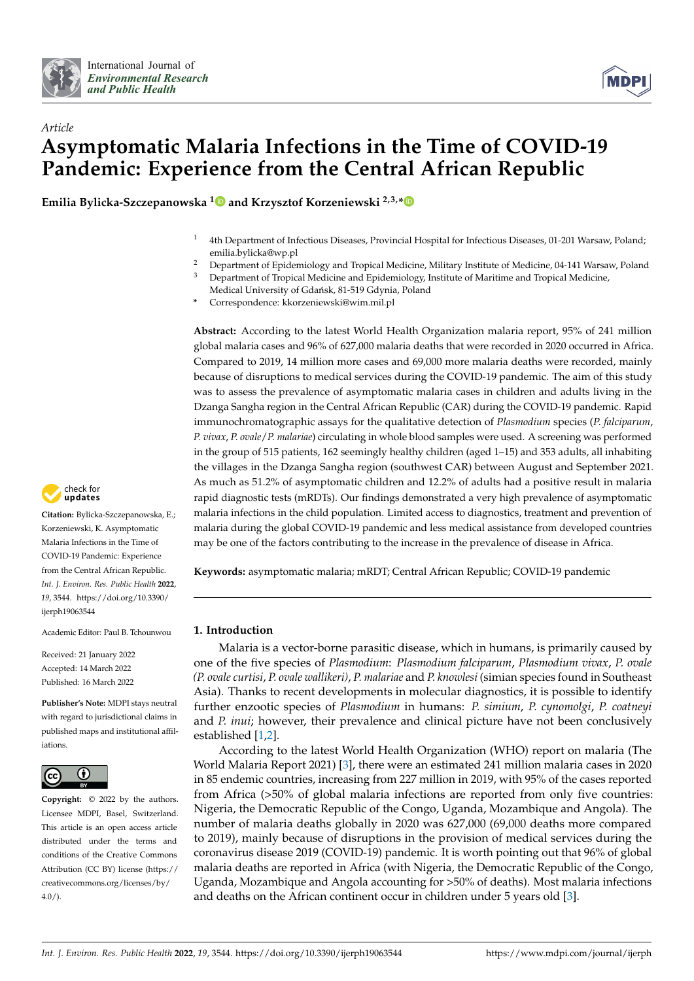



# *Article* **Asymptomatic Malaria Infections in the Time of COVID-19 Pandemic: Experience from the Central African Republic**

**Emilia Bylicka-Szczepanowska [1](https://orcid.org/0000-0001-7902-8943) and Krzysztof Korzeniewski 2,3,[\\*](https://orcid.org/0000-0002-0505-6279)**

- <sup>1</sup> 4th Department of Infectious Diseases, Provincial Hospital for Infectious Diseases, 01-201 Warsaw, Poland; emilia.bylicka@wp.pl
- <sup>2</sup> Department of Epidemiology and Tropical Medicine, Military Institute of Medicine, 04-141 Warsaw, Poland<sup>3</sup> Department of Tropical Medicine and Epidemiology Institute of Maritime and Tropical Medicine
- <sup>3</sup> Department of Tropical Medicine and Epidemiology, Institute of Maritime and Tropical Medicine,
	- Medical University of Gdańsk, 81-519 Gdynia, Poland
- **\*** Correspondence: kkorzeniewski@wim.mil.pl

**Abstract:** According to the latest World Health Organization malaria report, 95% of 241 million global malaria cases and 96% of 627,000 malaria deaths that were recorded in 2020 occurred in Africa. Compared to 2019, 14 million more cases and 69,000 more malaria deaths were recorded, mainly because of disruptions to medical services during the COVID-19 pandemic. The aim of this study was to assess the prevalence of asymptomatic malaria cases in children and adults living in the Dzanga Sangha region in the Central African Republic (CAR) during the COVID-19 pandemic. Rapid immunochromatographic assays for the qualitative detection of *Plasmodium* species (*P. falciparum*, *P. vivax*, *P. ovale*/*P. malariae*) circulating in whole blood samples were used. A screening was performed in the group of 515 patients, 162 seemingly healthy children (aged 1–15) and 353 adults, all inhabiting the villages in the Dzanga Sangha region (southwest CAR) between August and September 2021. As much as 51.2% of asymptomatic children and 12.2% of adults had a positive result in malaria rapid diagnostic tests (mRDTs). Our findings demonstrated a very high prevalence of asymptomatic malaria infections in the child population. Limited access to diagnostics, treatment and prevention of malaria during the global COVID-19 pandemic and less medical assistance from developed countries may be one of the factors contributing to the increase in the prevalence of disease in Africa.

**Keywords:** asymptomatic malaria; mRDT; Central African Republic; COVID-19 pandemic

# **1. Introduction**

Malaria is a vector-borne parasitic disease, which in humans, is primarily caused by one of the five species of *Plasmodium*: *Plasmodium falciparum*, *Plasmodium vivax*, *P. ovale (P. ovale curtisi*, *P. ovale wallikeri)*, *P. malariae* and *P. knowlesi* (simian species found in Southeast Asia). Thanks to recent developments in molecular diagnostics, it is possible to identify further enzootic species of *Plasmodium* in humans: *P. simium*, *P. cynomolgi*, *P. coatneyi* and *P. inui*; however, their prevalence and clinical picture have not been conclusively established [\[1,](#page-7-0)[2\]](#page-7-1).

According to the latest World Health Organization (WHO) report on malaria (The World Malaria Report 2021) [\[3\]](#page-7-2), there were an estimated 241 million malaria cases in 2020 in 85 endemic countries, increasing from 227 million in 2019, with 95% of the cases reported from Africa (>50% of global malaria infections are reported from only five countries: Nigeria, the Democratic Republic of the Congo, Uganda, Mozambique and Angola). The number of malaria deaths globally in 2020 was 627,000 (69,000 deaths more compared to 2019), mainly because of disruptions in the provision of medical services during the coronavirus disease 2019 (COVID-19) pandemic. It is worth pointing out that 96% of global malaria deaths are reported in Africa (with Nigeria, the Democratic Republic of the Congo, Uganda, Mozambique and Angola accounting for >50% of deaths). Most malaria infections and deaths on the African continent occur in children under 5 years old [\[3\]](#page-7-2).



**Citation:** Bylicka-Szczepanowska, E.; Korzeniewski, K. Asymptomatic Malaria Infections in the Time of COVID-19 Pandemic: Experience from the Central African Republic. *Int. J. Environ. Res. Public Health* **2022**, *19*, 3544. [https://doi.org/10.3390/](https://doi.org/10.3390/ijerph19063544) [ijerph19063544](https://doi.org/10.3390/ijerph19063544)

Academic Editor: Paul B. Tchounwou

Received: 21 January 2022 Accepted: 14 March 2022 Published: 16 March 2022

**Publisher's Note:** MDPI stays neutral with regard to jurisdictional claims in published maps and institutional affiliations.



**Copyright:** © 2022 by the authors. Licensee MDPI, Basel, Switzerland. This article is an open access article distributed under the terms and conditions of the Creative Commons Attribution (CC BY) license [\(https://](https://creativecommons.org/licenses/by/4.0/) [creativecommons.org/licenses/by/](https://creativecommons.org/licenses/by/4.0/)  $4.0/$ ).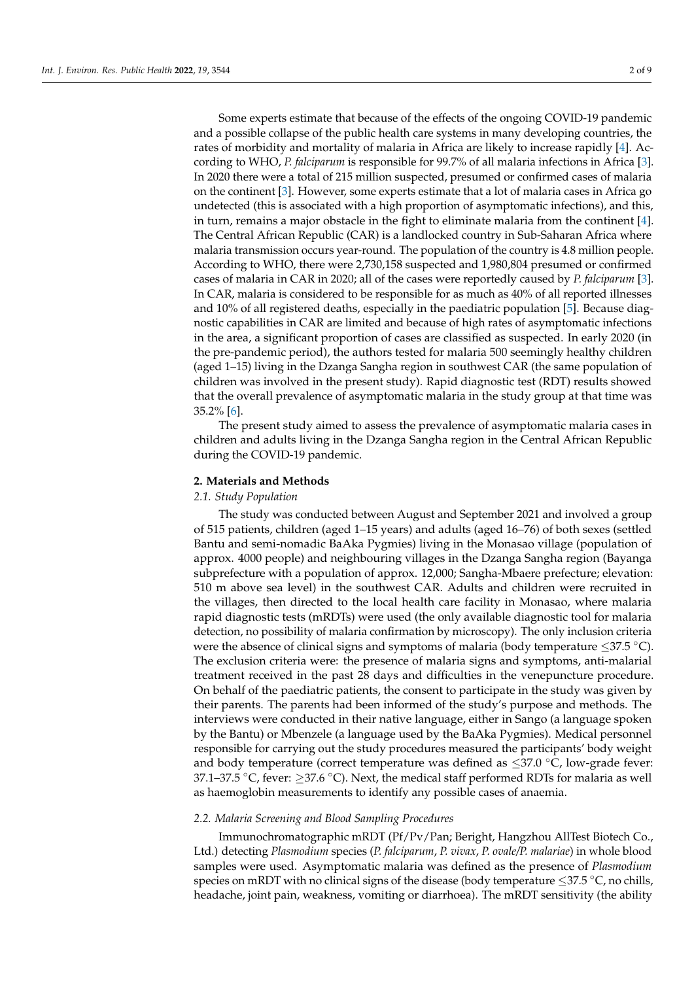Some experts estimate that because of the effects of the ongoing COVID-19 pandemic and a possible collapse of the public health care systems in many developing countries, the rates of morbidity and mortality of malaria in Africa are likely to increase rapidly [\[4\]](#page-7-3). According to WHO, *P. falciparum* is responsible for 99.7% of all malaria infections in Africa [\[3\]](#page-7-2). In 2020 there were a total of 215 million suspected, presumed or confirmed cases of malaria on the continent [\[3\]](#page-7-2). However, some experts estimate that a lot of malaria cases in Africa go undetected (this is associated with a high proportion of asymptomatic infections), and this, in turn, remains a major obstacle in the fight to eliminate malaria from the continent [\[4\]](#page-7-3). The Central African Republic (CAR) is a landlocked country in Sub-Saharan Africa where malaria transmission occurs year-round. The population of the country is 4.8 million people. According to WHO, there were 2,730,158 suspected and 1,980,804 presumed or confirmed cases of malaria in CAR in 2020; all of the cases were reportedly caused by *P. falciparum* [\[3\]](#page-7-2). In CAR, malaria is considered to be responsible for as much as 40% of all reported illnesses and 10% of all registered deaths, especially in the paediatric population [\[5\]](#page-7-4). Because diagnostic capabilities in CAR are limited and because of high rates of asymptomatic infections in the area, a significant proportion of cases are classified as suspected. In early 2020 (in the pre-pandemic period), the authors tested for malaria 500 seemingly healthy children (aged 1–15) living in the Dzanga Sangha region in southwest CAR (the same population of children was involved in the present study). Rapid diagnostic test (RDT) results showed that the overall prevalence of asymptomatic malaria in the study group at that time was 35.2% [\[6\]](#page-7-5).

The present study aimed to assess the prevalence of asymptomatic malaria cases in children and adults living in the Dzanga Sangha region in the Central African Republic during the COVID-19 pandemic.

## **2. Materials and Methods**

#### *2.1. Study Population*

The study was conducted between August and September 2021 and involved a group of 515 patients, children (aged 1–15 years) and adults (aged 16–76) of both sexes (settled Bantu and semi-nomadic BaAka Pygmies) living in the Monasao village (population of approx. 4000 people) and neighbouring villages in the Dzanga Sangha region (Bayanga subprefecture with a population of approx. 12,000; Sangha-Mbaere prefecture; elevation: 510 m above sea level) in the southwest CAR. Adults and children were recruited in the villages, then directed to the local health care facility in Monasao, where malaria rapid diagnostic tests (mRDTs) were used (the only available diagnostic tool for malaria detection, no possibility of malaria confirmation by microscopy). The only inclusion criteria were the absence of clinical signs and symptoms of malaria (body temperature  $\leq 37.5$  °C). The exclusion criteria were: the presence of malaria signs and symptoms, anti-malarial treatment received in the past 28 days and difficulties in the venepuncture procedure. On behalf of the paediatric patients, the consent to participate in the study was given by their parents. The parents had been informed of the study's purpose and methods. The interviews were conducted in their native language, either in Sango (a language spoken by the Bantu) or Mbenzele (a language used by the BaAka Pygmies). Medical personnel responsible for carrying out the study procedures measured the participants' body weight and body temperature (correct temperature was defined as  $\leq$ 37.0 °C, low-grade fever: 37.1–37.5 °C, fever:  $\geq$ 37.6 °C). Next, the medical staff performed RDTs for malaria as well as haemoglobin measurements to identify any possible cases of anaemia.

#### *2.2. Malaria Screening and Blood Sampling Procedures*

Immunochromatographic mRDT (Pf/Pv/Pan; Beright, Hangzhou AllTest Biotech Co., Ltd.) detecting *Plasmodium* species (*P. falciparum*, *P. vivax*, *P. ovale/P. malariae*) in whole blood samples were used. Asymptomatic malaria was defined as the presence of *Plasmodium* species on mRDT with no clinical signs of the disease (body temperature  $\leq$ 37.5 °C, no chills, headache, joint pain, weakness, vomiting or diarrhoea). The mRDT sensitivity (the ability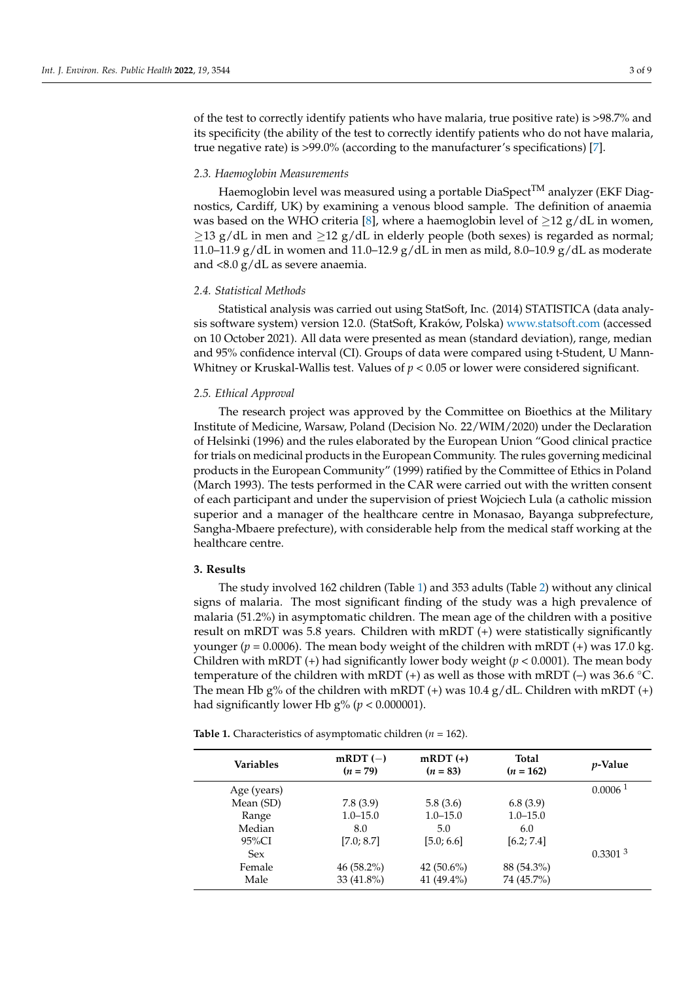of the test to correctly identify patients who have malaria, true positive rate) is >98.7% and its specificity (the ability of the test to correctly identify patients who do not have malaria, true negative rate) is >99.0% (according to the manufacturer's specifications) [\[7\]](#page-7-6).

#### *2.3. Haemoglobin Measurements*

Haemoglobin level was measured using a portable  $Diag$ - $TM$  analyzer (EKF Diagnostics, Cardiff, UK) by examining a venous blood sample. The definition of anaemia was based on the WHO criteria [\[8\]](#page-7-7), where a haemoglobin level of  $\geq$ 12 g/dL in women,  $\geq$ 13 g/dL in men and  $\geq$ 12 g/dL in elderly people (both sexes) is regarded as normal; 11.0–11.9 g/dL in women and 11.0–12.9 g/dL in men as mild, 8.0–10.9 g/dL as moderate and <8.0 g/dL as severe anaemia.

### *2.4. Statistical Methods*

Statistical analysis was carried out using StatSoft, Inc. (2014) STATISTICA (data analysis software system) version 12.0. (StatSoft, Kraków, Polska) <www.statsoft.com> (accessed on 10 October 2021). All data were presented as mean (standard deviation), range, median and 95% confidence interval (CI). Groups of data were compared using t-Student, U Mann-Whitney or Kruskal-Wallis test. Values of  $p < 0.05$  or lower were considered significant.

## *2.5. Ethical Approval*

The research project was approved by the Committee on Bioethics at the Military Institute of Medicine, Warsaw, Poland (Decision No. 22/WIM/2020) under the Declaration of Helsinki (1996) and the rules elaborated by the European Union "Good clinical practice for trials on medicinal products in the European Community. The rules governing medicinal products in the European Community" (1999) ratified by the Committee of Ethics in Poland (March 1993). The tests performed in the CAR were carried out with the written consent of each participant and under the supervision of priest Wojciech Lula (a catholic mission superior and a manager of the healthcare centre in Monasao, Bayanga subprefecture, Sangha-Mbaere prefecture), with considerable help from the medical staff working at the healthcare centre.

## **3. Results**

The study involved 162 children (Table [1\)](#page-2-0) and 353 adults (Table [2\)](#page-3-0) without any clinical signs of malaria. The most significant finding of the study was a high prevalence of malaria (51.2%) in asymptomatic children. The mean age of the children with a positive result on mRDT was 5.8 years. Children with mRDT (+) were statistically significantly younger ( $p = 0.0006$ ). The mean body weight of the children with mRDT (+) was 17.0 kg. Children with mRDT (+) had significantly lower body weight (*p* < 0.0001). The mean body temperature of the children with mRDT (+) as well as those with mRDT (-) was 36.6 °C. The mean Hb g% of the children with mRDT  $(+)$  was 10.4 g/dL. Children with mRDT  $(+)$ had significantly lower Hb  $g\%$  ( $p < 0.000001$ ).

<span id="page-2-0"></span>**Table 1.** Characteristics of asymptomatic children (*n* = 162).

| <b>Variables</b> | $mRDT(-)$<br>$(n = 79)$ | $m\text{RDT}(+)$<br>$(n = 83)$ | Total<br>$(n = 162)$ | <i>p</i> -Value       |
|------------------|-------------------------|--------------------------------|----------------------|-----------------------|
| Age (years)      |                         |                                |                      | $0.0006$ <sup>1</sup> |
| Mean (SD)        | 7.8(3.9)                | 5.8(3.6)                       | 6.8(3.9)             |                       |
| Range            | $1.0 - 15.0$            | $1.0 - 15.0$                   | $1.0 - 15.0$         |                       |
| Median           | 8.0                     | 5.0                            | 6.0                  |                       |
| 95%CI            | [7.0; 8.7]              | [5.0; 6.6]                     | [6.2; 7.4]           |                       |
| <b>Sex</b>       |                         |                                |                      | 0.3301 <sup>3</sup>   |
| Female           | $46(58.2\%)$            | 42 $(50.6\%)$                  | 88 (54.3%)           |                       |
| Male             | 33 (41.8%)              | 41 $(49.4\%)$                  | 74 (45.7%)           |                       |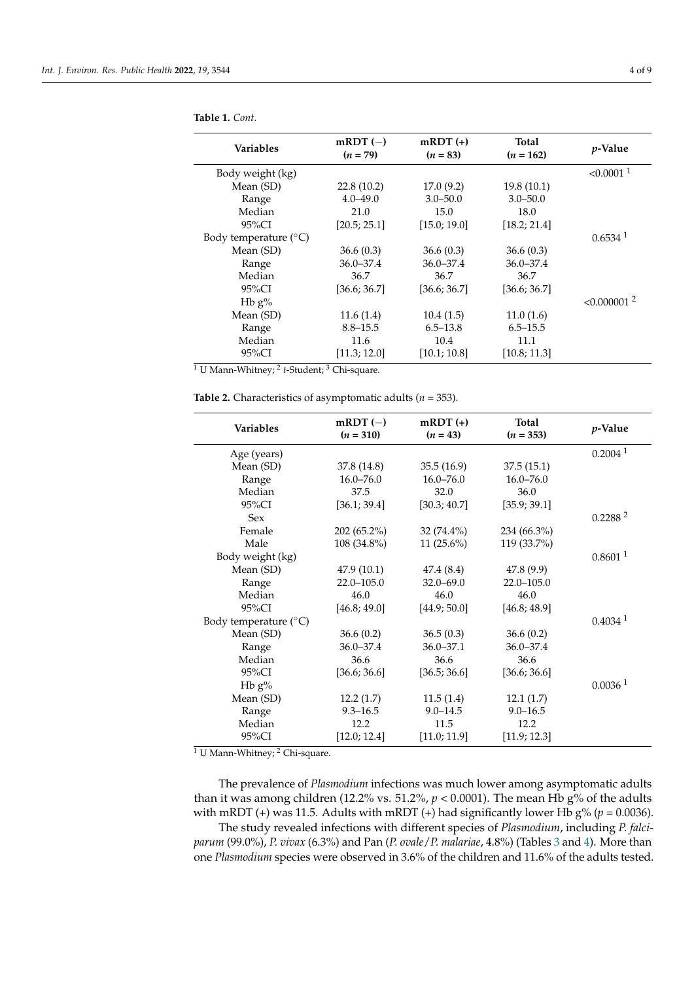| <b>Variables</b>               | $mRDT(-)$<br>$(n = 79)$ | $m\text{RDT}(+)$<br>$(n = 83)$ | Total<br>$(n = 162)$ | <i>p</i> -Value           |
|--------------------------------|-------------------------|--------------------------------|----------------------|---------------------------|
| Body weight (kg)               |                         |                                |                      | $< 0.0001$ <sup>1</sup>   |
| Mean (SD)                      | 22.8(10.2)              | 17.0(9.2)                      | 19.8(10.1)           |                           |
| Range                          | $4.0 - 49.0$            | $3.0 - 50.0$                   | $3.0 - 50.0$         |                           |
| Median                         | 21.0                    | 15.0                           | 18.0                 |                           |
| $95\%$ CI                      | [20.5; 25.1]            | [15.0; 19.0]                   | [18.2; 21.4]         |                           |
| Body temperature $(^{\circ}C)$ |                         |                                |                      | $0.6534$ <sup>1</sup>     |
| Mean (SD)                      | 36.6(0.3)               | 36.6(0.3)                      | 36.6(0.3)            |                           |
| Range                          | $36.0 - 37.4$           | $36.0 - 37.4$                  | $36.0 - 37.4$        |                           |
| Median                         | 36.7                    | 36.7                           | 36.7                 |                           |
| $95\%$ CI                      | [36.6; 36.7]            | [36.6; 36.7]                   | [36.6; 36.7]         |                           |
| H <sub>b</sub> $g\%$           |                         |                                |                      | $< 0.000001$ <sup>2</sup> |
| Mean (SD)                      | 11.6(1.4)               | 10.4(1.5)                      | 11.0(1.6)            |                           |
| Range                          | $8.8 - 15.5$            | $6.5 - 13.8$                   | $6.5 - 15.5$         |                           |
| Median                         | 11.6                    | 10.4                           | 11.1                 |                           |
| 95%CI                          | [11.3; 12.0]            | [10.1; 10.8]                   | [10.8; 11.3]         |                           |

**Table 1.** *Cont.*

<sup>1</sup> U Mann-Whitney; <sup>2</sup> *t*-Student; <sup>3</sup> Chi-square.

<span id="page-3-0"></span>

|  | Table 2. Characteristics of asymptomatic adults ( $n = 353$ ). |  |  |  |  |  |
|--|----------------------------------------------------------------|--|--|--|--|--|
|--|----------------------------------------------------------------|--|--|--|--|--|

| <b>Variables</b>               | $mRDT(-)$<br>$(n = 310)$ | $m\text{RDT}(+)$<br>$(n = 43)$ | <b>Total</b><br>$(n = 353)$ | <i>p</i> -Value       |
|--------------------------------|--------------------------|--------------------------------|-----------------------------|-----------------------|
| Age (years)                    |                          |                                |                             | 0.2004 <sup>1</sup>   |
| Mean (SD)                      | 37.8 (14.8)              | 35.5(16.9)                     | 37.5(15.1)                  |                       |
| Range                          | $16.0 - 76.0$            | $16.0 - 76.0$                  | $16.0 - 76.0$               |                       |
| Median                         | 37.5                     | 32.0                           | 36.0                        |                       |
| 95%CI                          | [36.1; 39.4]             | [30.3; 40.7]                   | [35.9; 39.1]                |                       |
| <b>Sex</b>                     |                          |                                |                             | 0.2288 <sup>2</sup>   |
| Female                         | 202 (65.2%)              | $32(74.4\%)$                   | 234 (66.3%)                 |                       |
| Male                           | 108 (34.8%)              | 11 $(25.6\%)$                  | 119 (33.7%)                 |                       |
| Body weight (kg)               |                          |                                |                             | 0.8601 <sup>1</sup>   |
| Mean (SD)                      | 47.9(10.1)               | 47.4 (8.4)                     | 47.8(9.9)                   |                       |
| Range                          | $22.0 - 105.0$           | $32.0 - 69.0$                  | $22.0 - 105.0$              |                       |
| Median                         | 46.0                     | 46.0                           | 46.0                        |                       |
| $95\%CI$                       | [46.8; 49.0]             | [44.9; 50.0]                   | [46.8; 48.9]                |                       |
| Body temperature $(^{\circ}C)$ |                          |                                |                             | $0.4034$ <sup>1</sup> |
| Mean (SD)                      | 36.6(0.2)                | 36.5(0.3)                      | 36.6(0.2)                   |                       |
| Range                          | $36.0 - 37.4$            | $36.0 - 37.1$                  | $36.0 - 37.4$               |                       |
| Median                         | 36.6                     | 36.6                           | 36.6                        |                       |
| 95%CI                          | [36.6; 36.6]             | [36.5; 36.6]                   | [36.6; 36.6]                |                       |
| H <sub>b</sub> $g\%$           |                          |                                |                             | 0.0036 <sup>1</sup>   |
| Mean (SD)                      | 12.2(1.7)                | 11.5(1.4)                      | 12.1(1.7)                   |                       |
| Range                          | $9.3 - 16.5$             | $9.0 - 14.5$                   | $9.0 - 16.5$                |                       |
| Median                         | 12.2                     | 11.5                           | 12.2                        |                       |
| 95%CI                          | [12.0; 12.4]             | [11.0; 11.9]                   | [11.9; 12.3]                |                       |

<sup>1</sup> U Mann-Whitney; <sup>2</sup> Chi-square.

The prevalence of *Plasmodium* infections was much lower among asymptomatic adults than it was among children (12.2% vs. 51.2%,  $p < 0.0001$ ). The mean Hb g% of the adults with mRDT (+) was 11.5. Adults with mRDT (+) had significantly lower Hb  $g\%$  ( $p = 0.0036$ ).

The study revealed infections with different species of *Plasmodium*, including *P. falciparum* (99.0%), *P. vivax* (6.3%) and Pan (*P. ovale*/*P. malariae*, 4.8%) (Tables [3](#page-4-0) and [4\)](#page-4-1). More than one *Plasmodium* species were observed in 3.6% of the children and 11.6% of the adults tested.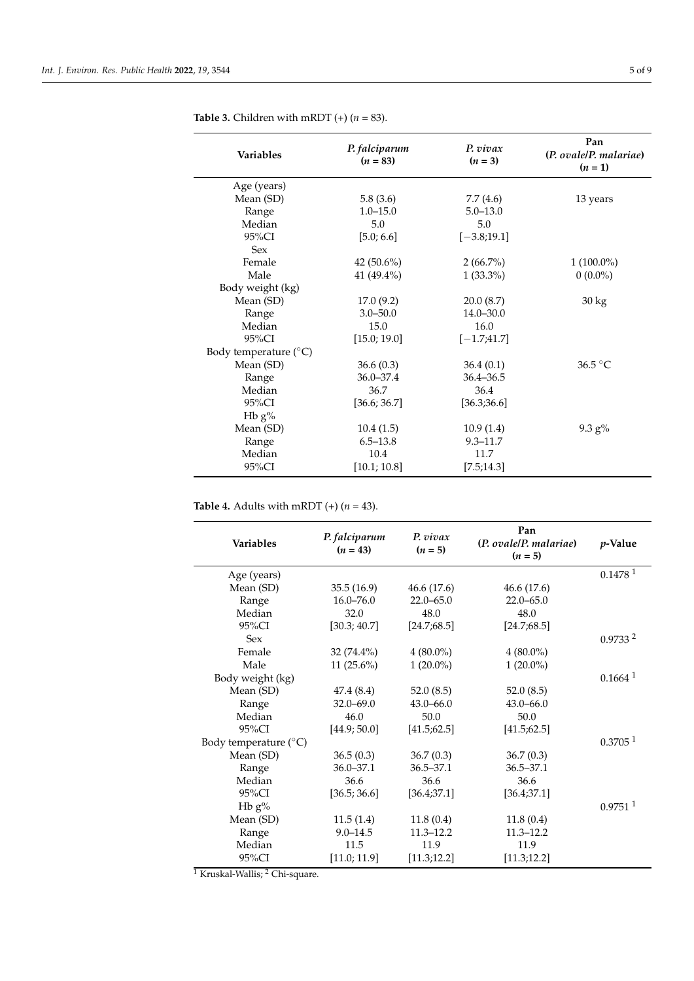| <b>Variables</b>               | P. falciparum<br>$(n = 83)$ | P. vivax<br>$(n=3)$ | Pan<br>(P. ovale/P. malariae)<br>$(n = 1)$ |
|--------------------------------|-----------------------------|---------------------|--------------------------------------------|
| Age (years)                    |                             |                     |                                            |
| Mean (SD)                      | 5.8(3.6)                    | 7.7(4.6)            | 13 years                                   |
| Range                          | $1.0 - 15.0$                | $5.0 - 13.0$        |                                            |
| Median                         | 5.0                         | 5.0                 |                                            |
| 95%CI                          | [5.0; 6.6]                  | $[-3.8;19.1]$       |                                            |
| <b>Sex</b>                     |                             |                     |                                            |
| Female                         | 42 $(50.6\%)$               | $2(66.7\%)$         | $1(100.0\%)$                               |
| Male                           | 41 $(49.4\%)$               | $1(33.3\%)$         | $0(0.0\%)$                                 |
| Body weight (kg)               |                             |                     |                                            |
| Mean (SD)                      | 17.0(9.2)                   | 20.0(8.7)           | $30 \text{ kg}$                            |
| Range                          | $3.0 - 50.0$                | $14.0 - 30.0$       |                                            |
| Median                         | 15.0                        | 16.0                |                                            |
| $95\%$ CI                      | [15.0; 19.0]                | $[-1.7;41.7]$       |                                            |
| Body temperature $(^{\circ}C)$ |                             |                     |                                            |
| Mean (SD)                      | 36.6(0.3)                   | 36.4(0.1)           | 36.5 °C                                    |
| Range                          | $36.0 - 37.4$               | $36.4 - 36.5$       |                                            |
| Median                         | 36.7                        | 36.4                |                                            |
| 95%CI                          | [36.6; 36.7]                | [36.3;36.6]         |                                            |
| Hb $g\%$                       |                             |                     |                                            |
| Mean (SD)                      | 10.4(1.5)                   | 10.9(1.4)           | $9.3 g\%$                                  |
| Range                          | $6.5 - 13.8$                | $9.3 - 11.7$        |                                            |
| Median                         | 10.4                        | 11.7                |                                            |
| 95%CI                          | [10.1; 10.8]                | [7.5; 14.3]         |                                            |

<span id="page-4-0"></span>**Table 3.** Children with mRDT  $(+)$   $(n = 83)$ .

<span id="page-4-1"></span>**Table 4.** Adults with mRDT  $(+)$   $(n = 43)$ .

| <b>Variables</b>               | P. falciparum<br>$(n = 43)$ | P. vivax<br>$(n = 5)$ | Pan<br>(P. ovale/P. malariae) | <i>p</i> -Value       |
|--------------------------------|-----------------------------|-----------------------|-------------------------------|-----------------------|
|                                |                             |                       | $(n = 5)$                     |                       |
| Age (years)                    |                             |                       |                               | 0.1478 <sup>1</sup>   |
| Mean (SD)                      | 35.5(16.9)                  | 46.6 (17.6)           | 46.6 (17.6)                   |                       |
| Range                          | $16.0 - 76.0$               | $22.0 - 65.0$         | $22.0 - 65.0$                 |                       |
| Median                         | 32.0                        | 48.0                  | 48.0                          |                       |
| 95%CI                          | [30.3; 40.7]                | [24.7;68.5]           | [24.7;68.5]                   |                       |
| <b>Sex</b>                     |                             |                       |                               | 0.9733 <sup>2</sup>   |
| Female                         | $32(74.4\%)$                | $4(80.0\%)$           | $4(80.0\%)$                   |                       |
| Male                           | 11 $(25.6\%)$               | $1(20.0\%)$           | $1(20.0\%)$                   |                       |
| Body weight (kg)               |                             |                       |                               | $0.1664$ <sup>1</sup> |
| Mean (SD)                      | 47.4 (8.4)                  | 52.0(8.5)             | 52.0(8.5)                     |                       |
| Range                          | $32.0 - 69.0$               | $43.0 - 66.0$         | $43.0 - 66.0$                 |                       |
| Median                         | 46.0                        | 50.0                  | 50.0                          |                       |
| 95%CI                          | [44.9; 50.0]                | [41.5;62.5]           | [41.5;62.5]                   |                       |
| Body temperature $(^{\circ}C)$ |                             |                       |                               | 0.3705 <sup>1</sup>   |
| Mean (SD)                      | 36.5(0.3)                   | 36.7(0.3)             | 36.7(0.3)                     |                       |
| Range                          | $36.0 - 37.1$               | $36.5 - 37.1$         | $36.5 - 37.1$                 |                       |
| Median                         | 36.6                        | 36.6                  | 36.6                          |                       |
| 95%CI                          | [36.5; 36.6]                | [36.4;37.1]           | [36.4;37.1]                   |                       |
| H <sub>b</sub> $g\%$           |                             |                       |                               | $0.9751$ <sup>1</sup> |
| Mean (SD)                      | 11.5(1.4)                   | 11.8(0.4)             | 11.8(0.4)                     |                       |
| Range                          | $9.0 - 14.5$                | $11.3 - 12.2$         | $11.3 - 12.2$                 |                       |
| Median                         | 11.5                        | 11.9                  | 11.9                          |                       |
| 95%CI                          | [11.0; 11.9]                | [11.3; 12.2]          | [11.3; 12.2]                  |                       |

<sup>1</sup> Kruskal-Wallis; <sup>2</sup> Chi-square.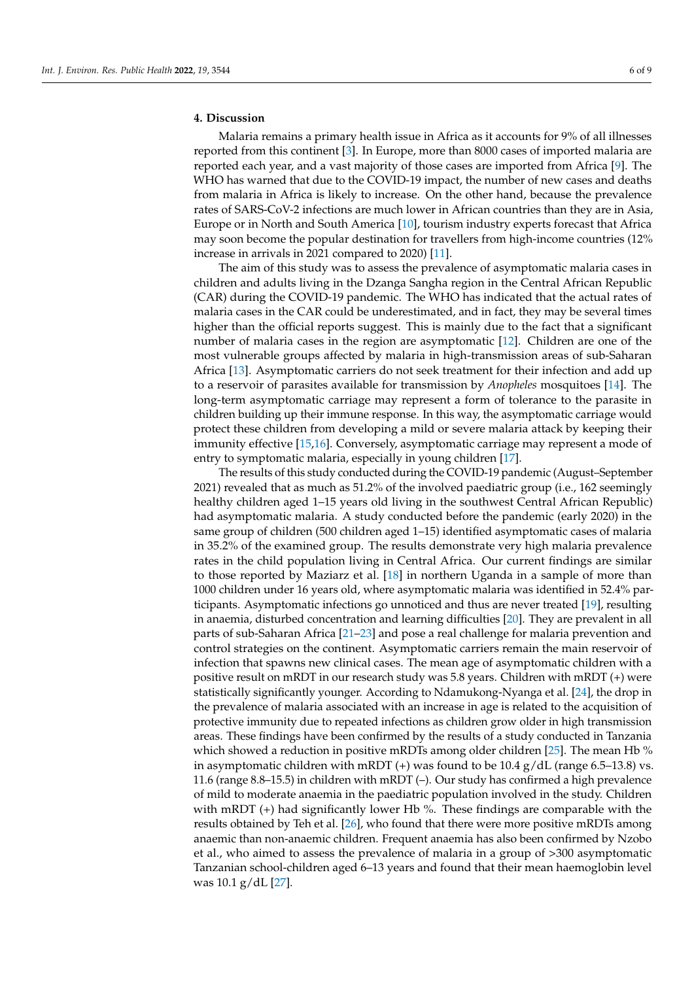# **4. Discussion**

Malaria remains a primary health issue in Africa as it accounts for 9% of all illnesses reported from this continent [\[3\]](#page-7-2). In Europe, more than 8000 cases of imported malaria are reported each year, and a vast majority of those cases are imported from Africa [\[9\]](#page-7-8). The WHO has warned that due to the COVID-19 impact, the number of new cases and deaths from malaria in Africa is likely to increase. On the other hand, because the prevalence rates of SARS-CoV-2 infections are much lower in African countries than they are in Asia, Europe or in North and South America [\[10\]](#page-7-9), tourism industry experts forecast that Africa may soon become the popular destination for travellers from high-income countries (12% increase in arrivals in 2021 compared to 2020) [\[11\]](#page-7-10).

The aim of this study was to assess the prevalence of asymptomatic malaria cases in children and adults living in the Dzanga Sangha region in the Central African Republic (CAR) during the COVID-19 pandemic. The WHO has indicated that the actual rates of malaria cases in the CAR could be underestimated, and in fact, they may be several times higher than the official reports suggest. This is mainly due to the fact that a significant number of malaria cases in the region are asymptomatic [\[12\]](#page-7-11). Children are one of the most vulnerable groups affected by malaria in high-transmission areas of sub-Saharan Africa [\[13\]](#page-7-12). Asymptomatic carriers do not seek treatment for their infection and add up to a reservoir of parasites available for transmission by *Anopheles* mosquitoes [\[14\]](#page-7-13). The long-term asymptomatic carriage may represent a form of tolerance to the parasite in children building up their immune response. In this way, the asymptomatic carriage would protect these children from developing a mild or severe malaria attack by keeping their immunity effective [\[15,](#page-8-0)[16\]](#page-8-1). Conversely, asymptomatic carriage may represent a mode of entry to symptomatic malaria, especially in young children [\[17\]](#page-8-2).

The results of this study conducted during the COVID-19 pandemic (August–September 2021) revealed that as much as 51.2% of the involved paediatric group (i.e., 162 seemingly healthy children aged 1–15 years old living in the southwest Central African Republic) had asymptomatic malaria. A study conducted before the pandemic (early 2020) in the same group of children (500 children aged 1–15) identified asymptomatic cases of malaria in 35.2% of the examined group. The results demonstrate very high malaria prevalence rates in the child population living in Central Africa. Our current findings are similar to those reported by Maziarz et al. [\[18\]](#page-8-3) in northern Uganda in a sample of more than 1000 children under 16 years old, where asymptomatic malaria was identified in 52.4% participants. Asymptomatic infections go unnoticed and thus are never treated [\[19\]](#page-8-4), resulting in anaemia, disturbed concentration and learning difficulties [\[20\]](#page-8-5). They are prevalent in all parts of sub-Saharan Africa [\[21](#page-8-6)[–23\]](#page-8-7) and pose a real challenge for malaria prevention and control strategies on the continent. Asymptomatic carriers remain the main reservoir of infection that spawns new clinical cases. The mean age of asymptomatic children with a positive result on mRDT in our research study was 5.8 years. Children with mRDT (+) were statistically significantly younger. According to Ndamukong-Nyanga et al. [\[24\]](#page-8-8), the drop in the prevalence of malaria associated with an increase in age is related to the acquisition of protective immunity due to repeated infections as children grow older in high transmission areas. These findings have been confirmed by the results of a study conducted in Tanzania which showed a reduction in positive mRDTs among older children [\[25\]](#page-8-9). The mean Hb % in asymptomatic children with mRDT  $(+)$  was found to be 10.4  $g/dL$  (range 6.5–13.8) vs. 11.6 (range 8.8–15.5) in children with mRDT (–). Our study has confirmed a high prevalence of mild to moderate anaemia in the paediatric population involved in the study. Children with mRDT (+) had significantly lower Hb %. These findings are comparable with the results obtained by Teh et al. [\[26\]](#page-8-10), who found that there were more positive mRDTs among anaemic than non-anaemic children. Frequent anaemia has also been confirmed by Nzobo et al., who aimed to assess the prevalence of malaria in a group of >300 asymptomatic Tanzanian school-children aged 6–13 years and found that their mean haemoglobin level was 10.1 g/dL [\[27\]](#page-8-11).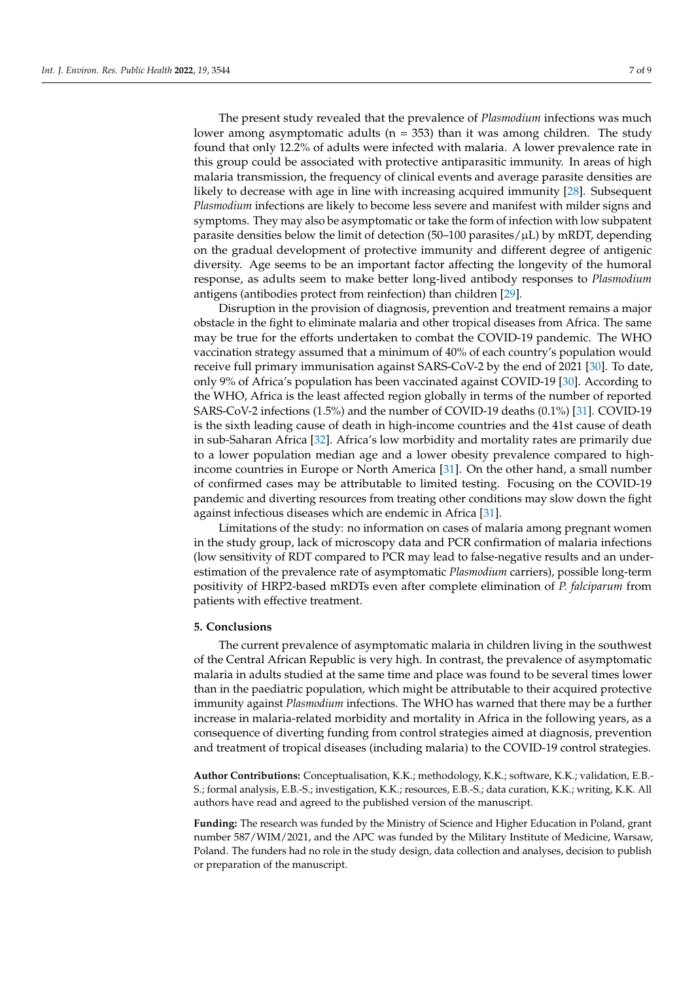The present study revealed that the prevalence of *Plasmodium* infections was much lower among asymptomatic adults ( $n = 353$ ) than it was among children. The study found that only 12.2% of adults were infected with malaria. A lower prevalence rate in this group could be associated with protective antiparasitic immunity. In areas of high malaria transmission, the frequency of clinical events and average parasite densities are likely to decrease with age in line with increasing acquired immunity [\[28\]](#page-8-12). Subsequent *Plasmodium* infections are likely to become less severe and manifest with milder signs and symptoms. They may also be asymptomatic or take the form of infection with low subpatent parasite densities below the limit of detection (50–100 parasites/ $\mu$ L) by mRDT, depending on the gradual development of protective immunity and different degree of antigenic diversity. Age seems to be an important factor affecting the longevity of the humoral response, as adults seem to make better long-lived antibody responses to *Plasmodium* antigens (antibodies protect from reinfection) than children [\[29\]](#page-8-13).

Disruption in the provision of diagnosis, prevention and treatment remains a major obstacle in the fight to eliminate malaria and other tropical diseases from Africa. The same may be true for the efforts undertaken to combat the COVID-19 pandemic. The WHO vaccination strategy assumed that a minimum of 40% of each country's population would receive full primary immunisation against SARS-CoV-2 by the end of 2021 [\[30\]](#page-8-14). To date, only 9% of Africa's population has been vaccinated against COVID-19 [\[30\]](#page-8-14). According to the WHO, Africa is the least affected region globally in terms of the number of reported SARS-CoV-2 infections (1.5%) and the number of COVID-19 deaths (0.1%) [\[31\]](#page-8-15). COVID-19 is the sixth leading cause of death in high-income countries and the 41st cause of death in sub-Saharan Africa [\[32\]](#page-8-16). Africa's low morbidity and mortality rates are primarily due to a lower population median age and a lower obesity prevalence compared to highincome countries in Europe or North America [\[31\]](#page-8-15). On the other hand, a small number of confirmed cases may be attributable to limited testing. Focusing on the COVID-19 pandemic and diverting resources from treating other conditions may slow down the fight against infectious diseases which are endemic in Africa [\[31\]](#page-8-15).

Limitations of the study: no information on cases of malaria among pregnant women in the study group, lack of microscopy data and PCR confirmation of malaria infections (low sensitivity of RDT compared to PCR may lead to false-negative results and an underestimation of the prevalence rate of asymptomatic *Plasmodium* carriers), possible long-term positivity of HRP2-based mRDTs even after complete elimination of *P. falciparum* from patients with effective treatment.

#### **5. Conclusions**

The current prevalence of asymptomatic malaria in children living in the southwest of the Central African Republic is very high. In contrast, the prevalence of asymptomatic malaria in adults studied at the same time and place was found to be several times lower than in the paediatric population, which might be attributable to their acquired protective immunity against *Plasmodium* infections. The WHO has warned that there may be a further increase in malaria-related morbidity and mortality in Africa in the following years, as a consequence of diverting funding from control strategies aimed at diagnosis, prevention and treatment of tropical diseases (including malaria) to the COVID-19 control strategies.

**Author Contributions:** Conceptualisation, K.K.; methodology, K.K.; software, K.K.; validation, E.B.- S.; formal analysis, E.B.-S.; investigation, K.K.; resources, E.B.-S.; data curation, K.K.; writing, K.K. All authors have read and agreed to the published version of the manuscript.

**Funding:** The research was funded by the Ministry of Science and Higher Education in Poland, grant number 587/WIM/2021, and the APC was funded by the Military Institute of Medicine, Warsaw, Poland. The funders had no role in the study design, data collection and analyses, decision to publish or preparation of the manuscript.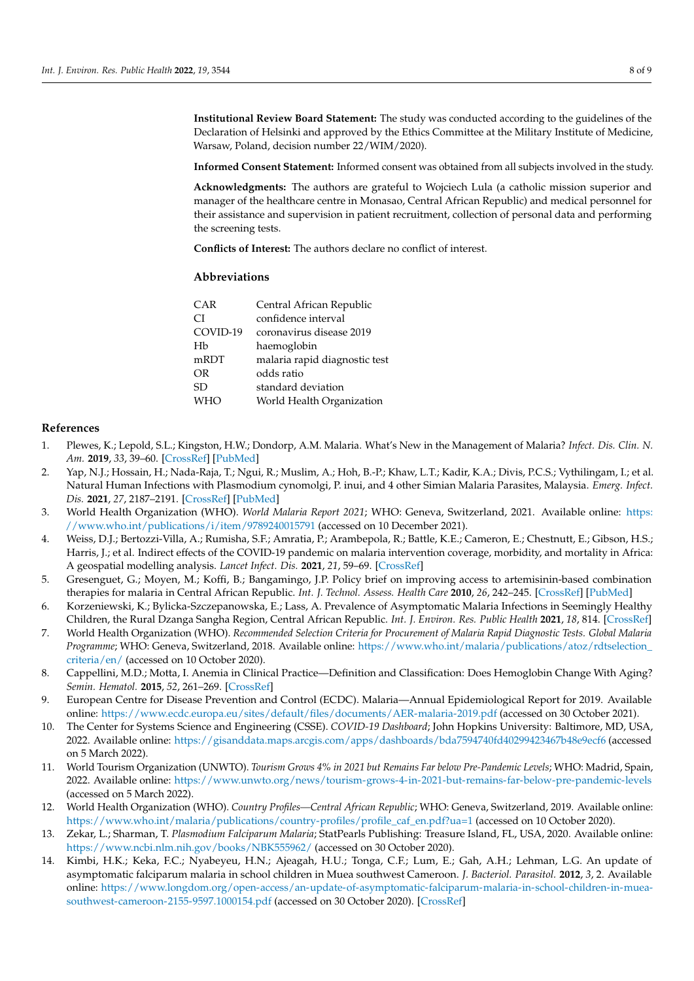**Institutional Review Board Statement:** The study was conducted according to the guidelines of the Declaration of Helsinki and approved by the Ethics Committee at the Military Institute of Medicine, Warsaw, Poland, decision number 22/WIM/2020).

**Informed Consent Statement:** Informed consent was obtained from all subjects involved in the study.

**Acknowledgments:** The authors are grateful to Wojciech Lula (a catholic mission superior and manager of the healthcare centre in Monasao, Central African Republic) and medical personnel for their assistance and supervision in patient recruitment, collection of personal data and performing the screening tests.

**Conflicts of Interest:** The authors declare no conflict of interest.

#### **Abbreviations**

| CAR        | Central African Republic      |
|------------|-------------------------------|
| СI         | confidence interval           |
| COVID-19   | coronavirus disease 2019      |
| Hb         | haemoglobin                   |
| mRDT       | malaria rapid diagnostic test |
| <b>OR</b>  | odds ratio                    |
| SD         | standard deviation            |
| <b>WHO</b> | World Health Organization     |
|            |                               |

# **References**

- <span id="page-7-0"></span>1. Plewes, K.; Lepold, S.L.; Kingston, H.W.; Dondorp, A.M. Malaria. What's New in the Management of Malaria? *Infect. Dis. Clin. N. Am.* **2019**, *33*, 39–60. [\[CrossRef\]](http://doi.org/10.1016/j.idc.2018.10.002) [\[PubMed\]](http://www.ncbi.nlm.nih.gov/pubmed/30712767)
- <span id="page-7-1"></span>2. Yap, N.J.; Hossain, H.; Nada-Raja, T.; Ngui, R.; Muslim, A.; Hoh, B.-P.; Khaw, L.T.; Kadir, K.A.; Divis, P.C.S.; Vythilingam, I.; et al. Natural Human Infections with Plasmodium cynomolgi, P. inui, and 4 other Simian Malaria Parasites, Malaysia. *Emerg. Infect. Dis.* **2021**, *27*, 2187–2191. [\[CrossRef\]](http://doi.org/10.3201/eid2708.204502) [\[PubMed\]](http://www.ncbi.nlm.nih.gov/pubmed/34287122)
- <span id="page-7-2"></span>3. World Health Organization (WHO). *World Malaria Report 2021*; WHO: Geneva, Switzerland, 2021. Available online: [https:](https://www.who.int/publications/i/item/9789240015791) [//www.who.int/publications/i/item/9789240015791](https://www.who.int/publications/i/item/9789240015791) (accessed on 10 December 2021).
- <span id="page-7-3"></span>4. Weiss, D.J.; Bertozzi-Villa, A.; Rumisha, S.F.; Amratia, P.; Arambepola, R.; Battle, K.E.; Cameron, E.; Chestnutt, E.; Gibson, H.S.; Harris, J.; et al. Indirect effects of the COVID-19 pandemic on malaria intervention coverage, morbidity, and mortality in Africa: A geospatial modelling analysis. *Lancet Infect. Dis.* **2021**, *21*, 59–69. [\[CrossRef\]](http://doi.org/10.1016/S1473-3099(20)30700-3)
- <span id="page-7-4"></span>5. Gresenguet, G.; Moyen, M.; Koffi, B.; Bangamingo, J.P. Policy brief on improving access to artemisinin-based combination therapies for malaria in Central African Republic. *Int. J. Technol. Assess. Health Care* **2010**, *26*, 242–245. [\[CrossRef\]](http://doi.org/10.1017/S0266462310000231) [\[PubMed\]](http://www.ncbi.nlm.nih.gov/pubmed/20392335)
- <span id="page-7-5"></span>6. Korzeniewski, K.; Bylicka-Szczepanowska, E.; Lass, A. Prevalence of Asymptomatic Malaria Infections in Seemingly Healthy Children, the Rural Dzanga Sangha Region, Central African Republic. *Int. J. Environ. Res. Public Health* **2021**, *18*, 814. [\[CrossRef\]](http://doi.org/10.3390/ijerph18020814)
- <span id="page-7-6"></span>7. World Health Organization (WHO). *Recommended Selection Criteria for Procurement of Malaria Rapid Diagnostic Tests. Global Malaria Programme*; WHO: Geneva, Switzerland, 2018. Available online: [https://www.who.int/malaria/publications/atoz/rdtselection\\_](https://www.who.int/malaria/publications/atoz/rdtselection_criteria/en/) [criteria/en/](https://www.who.int/malaria/publications/atoz/rdtselection_criteria/en/) (accessed on 10 October 2020).
- <span id="page-7-7"></span>8. Cappellini, M.D.; Motta, I. Anemia in Clinical Practice—Definition and Classification: Does Hemoglobin Change With Aging? *Semin. Hematol.* **2015**, *52*, 261–269. [\[CrossRef\]](http://doi.org/10.1053/j.seminhematol.2015.07.006)
- <span id="page-7-8"></span>9. European Centre for Disease Prevention and Control (ECDC). Malaria—Annual Epidemiological Report for 2019. Available online: <https://www.ecdc.europa.eu/sites/default/files/documents/AER-malaria-2019.pdf> (accessed on 30 October 2021).
- <span id="page-7-9"></span>10. The Center for Systems Science and Engineering (CSSE). *COVID-19 Dashboard*; John Hopkins University: Baltimore, MD, USA, 2022. Available online: <https://gisanddata.maps.arcgis.com/apps/dashboards/bda7594740fd40299423467b48e9ecf6> (accessed on 5 March 2022).
- <span id="page-7-10"></span>11. World Tourism Organization (UNWTO). *Tourism Grows 4% in 2021 but Remains Far below Pre-Pandemic Levels*; WHO: Madrid, Spain, 2022. Available online: <https://www.unwto.org/news/tourism-grows-4-in-2021-but-remains-far-below-pre-pandemic-levels> (accessed on 5 March 2022).
- <span id="page-7-11"></span>12. World Health Organization (WHO). *Country Profiles—Central African Republic*; WHO: Geneva, Switzerland, 2019. Available online: [https://www.who.int/malaria/publications/country-profiles/profile\\_caf\\_en.pdf?ua=1](https://www.who.int/malaria/publications/country-profiles/profile_caf_en.pdf?ua=1) (accessed on 10 October 2020).
- <span id="page-7-12"></span>13. Zekar, L.; Sharman, T. *Plasmodium Falciparum Malaria*; StatPearls Publishing: Treasure Island, FL, USA, 2020. Available online: <https://www.ncbi.nlm.nih.gov/books/NBK555962/> (accessed on 30 October 2020).
- <span id="page-7-13"></span>14. Kimbi, H.K.; Keka, F.C.; Nyabeyeu, H.N.; Ajeagah, H.U.; Tonga, C.F.; Lum, E.; Gah, A.H.; Lehman, L.G. An update of asymptomatic falciparum malaria in school children in Muea southwest Cameroon. *J. Bacteriol. Parasitol.* **2012**, *3*, 2. Available online: [https://www.longdom.org/open-access/an-update-of-asymptomatic-falciparum-malaria-in-school-children-in-muea](https://www.longdom.org/open-access/an-update-of-asymptomatic-falciparum-malaria-in-school-children-in-muea-southwest-cameroon-2155-9597.1000154.pdf)[southwest-cameroon-2155-9597.1000154.pdf](https://www.longdom.org/open-access/an-update-of-asymptomatic-falciparum-malaria-in-school-children-in-muea-southwest-cameroon-2155-9597.1000154.pdf) (accessed on 30 October 2020). [\[CrossRef\]](http://doi.org/10.4172/2155-9597.1000154)